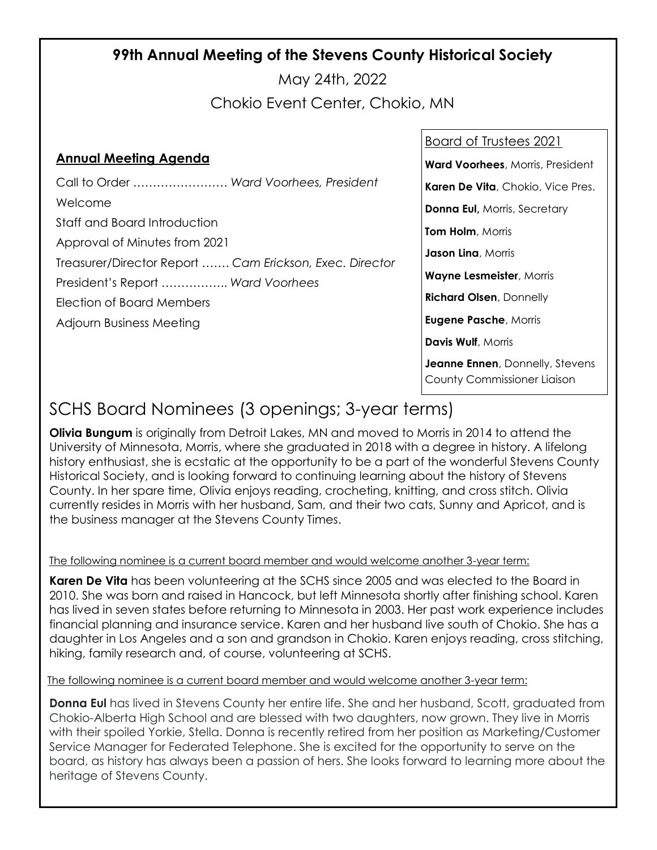## **99th Annual Meeting of the Stevens County Historical Society**

May 24th, 2022

Chokio Event Center, Chokio, MN

### **Annual Meeting Agenda**

Call to Order …………………… *Ward Voorhees, President* Welcome Staff and Board Introduction Approval of Minutes from 2021 Treasurer/Director Report ……. *Cam Erickson, Exec. Director* President's Report …………….. *Ward Voorhees* Election of Board Members Adjourn Business Meeting

#### Board of Trustees 2021

**Ward Voorhees**, Morris, President

**Karen De Vita**, Chokio, Vice Pres.

**Donna Eul,** Morris, Secretary

**Tom Holm**, Morris

**Jason Lina**, Morris

**Wayne Lesmeister**, Morris

**Richard Olsen**, Donnelly

**Eugene Pasche**, Morris

**Davis Wulf**, Morris

**Jeanne Ennen**, Donnelly, Stevens County Commissioner Liaison

## SCHS Board Nominees (3 openings; 3-year terms)

**Olivia Bungum** is originally from Detroit Lakes, MN and moved to Morris in 2014 to attend the University of Minnesota, Morris, where she graduated in 2018 with a degree in history. A lifelong history enthusiast, she is ecstatic at the opportunity to be a part of the wonderful Stevens County Historical Society, and is looking forward to continuing learning about the history of Stevens County. In her spare time, Olivia enjoys reading, crocheting, knitting, and cross stitch. Olivia currently resides in Morris with her husband, Sam, and their two cats, Sunny and Apricot, and is the business manager at the Stevens County Times.

#### The following nominee is a current board member and would welcome another 3-year term:

**Karen De Vita** has been volunteering at the SCHS since 2005 and was elected to the Board in 2010. She was born and raised in Hancock, but left Minnesota shortly after finishing school. Karen has lived in seven states before returning to Minnesota in 2003. Her past work experience includes financial planning and insurance service. Karen and her husband live south of Chokio. She has a daughter in Los Angeles and a son and grandson in Chokio. Karen enjoys reading, cross stitching, hiking, family research and, of course, volunteering at SCHS.

#### The following nominee is a current board member and would welcome another 3-year term:

**Donna Eul** has lived in Stevens County her entire life. She and her husband, Scott, graduated from Chokio-Alberta High School and are blessed with two daughters, now grown. They live in Morris with their spoiled Yorkie, Stella. Donna is recently retired from her position as Marketing/Customer Service Manager for Federated Telephone. She is excited for the opportunity to serve on the board, as history has always been a passion of hers. She looks forward to learning more about the heritage of Stevens County.